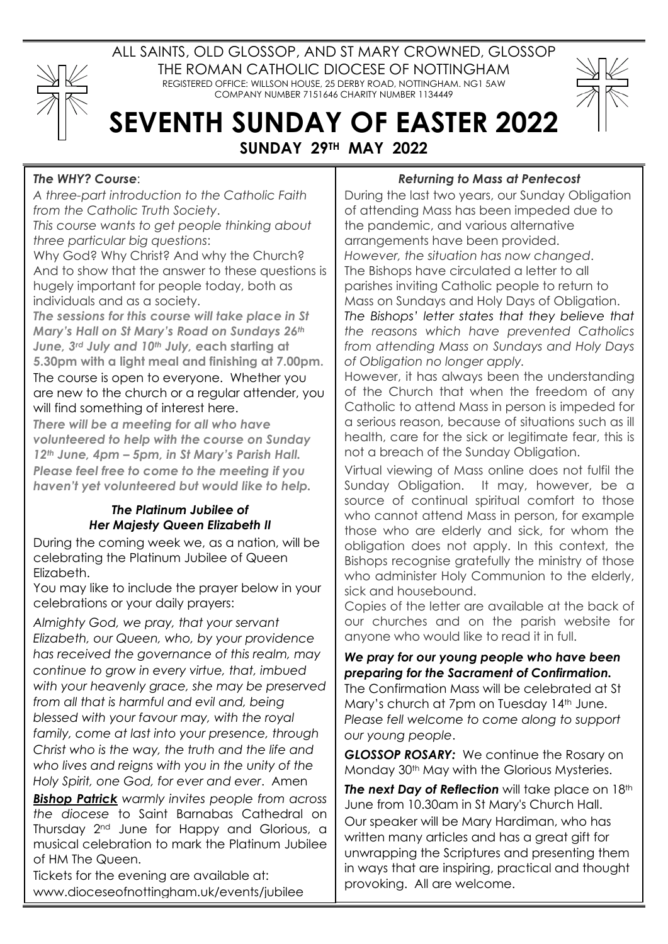

ALL SAINTS, OLD GLOSSOP, AND ST MARY CROWNED, GLOSSOP THE ROMAN CATHOLIC DIOCESE OF NOTTINGHAM REGISTERED OFFICE: WILLSON HOUSE, 25 DERBY ROAD, NOTTINGHAM. NG1 5AW COMPANY NUMBER 7151646 CHARITY NUMBER 1134449

# **SEVENTH SUNDAY OF EASTER 2022 SUNDAY 29TH MAY 2022**

#### *The WHY? Course*:

*A three-part introduction to the Catholic Faith from the Catholic Truth Society*.

*This course wants to get people thinking about three particular big questions*:

Why God? Why Christ? And why the Church? And to show that the answer to these questions is hugely important for people today, both as individuals and as a society.

*The sessions for this course will take place in St Mary's Hall on St Mary's Road on Sundays 26th June, 3rd July and 10th July, e***ach starting at 5.30pm with a light meal and finishing at 7.00pm.** The course is open to everyone. Whether you are new to the church or a regular attender, you will find something of interest here.

*There will be a meeting for all who have volunteered to help with the course on Sunday 12th June, 4pm – 5pm, in St Mary's Parish Hall. Please feel free to come to the meeting if you haven't yet volunteered but would like to help.*

## *The Platinum Jubilee of Her Majesty Queen Elizabeth II*

During the coming week we, as a nation, will be celebrating the Platinum Jubilee of Queen Elizabeth.

You may like to include the prayer below in your celebrations or your daily prayers:

*Almighty God, we pray, that your servant Elizabeth, our Queen, who, by your providence has received the governance of this realm, may continue to grow in every virtue, that, imbued with your heavenly grace, she may be preserved from all that is harmful and evil and, being blessed with your favour may, with the royal family, come at last into your presence, through Christ who is the way, the truth and the life and who lives and reigns with you in the unity of the Holy Spirit, one God, for ever and ever*. Amen

*Bishop Patrick warmly invites people from across the diocese* to Saint Barnabas Cathedral on Thursday 2nd June for Happy and Glorious, a musical celebration to mark the Platinum Jubilee of HM The Queen.

Tickets for the evening are available at: www.dioceseofnottingham.uk/events/jubilee

## *Returning to Mass at Pentecost*

During the last two years, our Sunday Obligation of attending Mass has been impeded due to the pandemic, and various alternative arrangements have been provided. *However, the situation has now changed*. The Bishops have circulated a letter to all parishes inviting Catholic people to return to Mass on Sundays and Holy Days of Obligation. *The Bishops' letter states that they believe that the reasons which have prevented Catholics from attending Mass on Sundays and Holy Days of Obligation no longer apply.*

However, it has always been the understanding of the Church that when the freedom of any Catholic to attend Mass in person is impeded for a serious reason, because of situations such as ill health, care for the sick or legitimate fear, this is not a breach of the Sunday Obligation.

Virtual viewing of Mass online does not fulfil the Sunday Obligation. It may, however, be a source of continual spiritual comfort to those who cannot attend Mass in person, for example those who are elderly and sick, for whom the obligation does not apply. In this context, the Bishops recognise gratefully the ministry of those who administer Holy Communion to the elderly, sick and housebound.

Copies of the letter are available at the back of our churches and on the parish website for anyone who would like to read it in full.

## *We pray for our young people who have been preparing for the Sacrament of Confirmation.*

The Confirmation Mass will be celebrated at St Mary's church at 7pm on Tuesday 14<sup>th</sup> June. *Please fell welcome to come along to support our young people*.

*GLOSSOP ROSARY:* We continue the Rosary on Monday 30<sup>th</sup> May with the Glorious Mysteries.

**The next Day of Reflection** will take place on 18th June from 10.30am in St Mary's Church Hall. Our speaker will be Mary Hardiman, who has written many articles and has a great gift for unwrapping the Scriptures and presenting them in ways that are inspiring, practical and thought provoking. All are welcome.